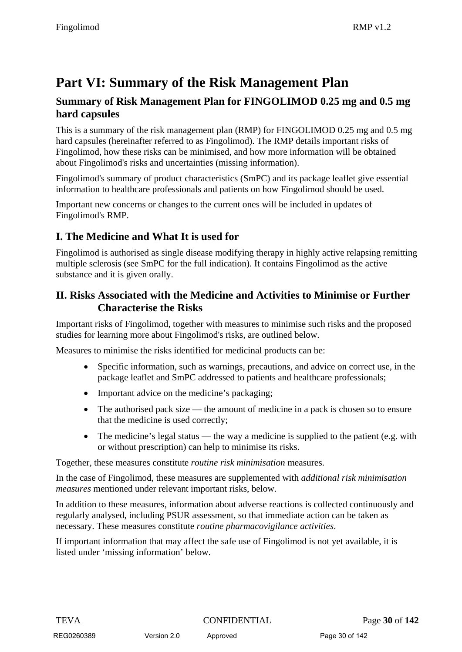# **Part VI: Summary of the Risk Management Plan**

## **Summary of Risk Management Plan for FINGOLIMOD 0.25 mg and 0.5 mg hard capsules**

This is a summary of the risk management plan (RMP) for FINGOLIMOD 0.25 mg and 0.5 mg hard capsules (hereinafter referred to as Fingolimod). The RMP details important risks of Fingolimod, how these risks can be minimised, and how more information will be obtained about Fingolimod's risks and uncertainties (missing information).

Fingolimod's summary of product characteristics (SmPC) and its package leaflet give essential information to healthcare professionals and patients on how Fingolimod should be used.

Important new concerns or changes to the current ones will be included in updates of Fingolimod's RMP.

## **I. The Medicine and What It is used for**

Fingolimod is authorised as single disease modifying therapy in highly active relapsing remitting multiple sclerosis (see SmPC for the full indication). It contains Fingolimod as the active substance and it is given orally.

## **II. Risks Associated with the Medicine and Activities to Minimise or Further Characterise the Risks**

Important risks of Fingolimod, together with measures to minimise such risks and the proposed studies for learning more about Fingolimod's risks, are outlined below.

Measures to minimise the risks identified for medicinal products can be:

- Specific information, such as warnings, precautions, and advice on correct use, in the package leaflet and SmPC addressed to patients and healthcare professionals;
- Important advice on the medicine's packaging;
- The authorised pack size the amount of medicine in a pack is chosen so to ensure that the medicine is used correctly;
- The medicine's legal status the way a medicine is supplied to the patient (e.g. with or without prescription) can help to minimise its risks.

Together, these measures constitute *routine risk minimisation* measures.

In the case of Fingolimod, these measures are supplemented with *additional risk minimisation measures* mentioned under relevant important risks, below.

In addition to these measures, information about adverse reactions is collected continuously and regularly analysed, including PSUR assessment, so that immediate action can be taken as necessary. These measures constitute *routine pharmacovigilance activities*.

If important information that may affect the safe use of Fingolimod is not yet available, it is listed under 'missing information' below.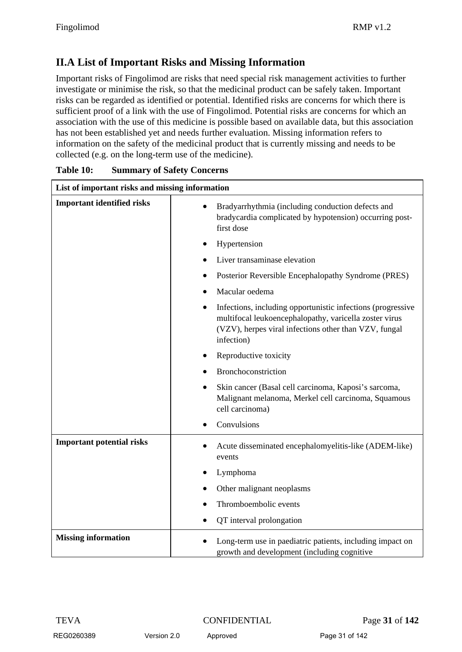# **II.A List of Important Risks and Missing Information**

Important risks of Fingolimod are risks that need special risk management activities to further investigate or minimise the risk, so that the medicinal product can be safely taken. Important risks can be regarded as identified or potential. Identified risks are concerns for which there is sufficient proof of a link with the use of Fingolimod. Potential risks are concerns for which an association with the use of this medicine is possible based on available data, but this association has not been established yet and needs further evaluation. Missing information refers to information on the safety of the medicinal product that is currently missing and needs to be collected (e.g. on the long-term use of the medicine).

| List of important risks and missing information |                                                                                                                                                                                                           |  |
|-------------------------------------------------|-----------------------------------------------------------------------------------------------------------------------------------------------------------------------------------------------------------|--|
| <b>Important identified risks</b>               | Bradyarrhythmia (including conduction defects and<br>bradycardia complicated by hypotension) occurring post-<br>first dose                                                                                |  |
|                                                 | Hypertension                                                                                                                                                                                              |  |
|                                                 | Liver transaminase elevation                                                                                                                                                                              |  |
|                                                 | Posterior Reversible Encephalopathy Syndrome (PRES)                                                                                                                                                       |  |
|                                                 | Macular oedema                                                                                                                                                                                            |  |
|                                                 | Infections, including opportunistic infections (progressive<br>$\bullet$<br>multifocal leukoencephalopathy, varicella zoster virus<br>(VZV), herpes viral infections other than VZV, fungal<br>infection) |  |
|                                                 | Reproductive toxicity                                                                                                                                                                                     |  |
|                                                 | Bronchoconstriction                                                                                                                                                                                       |  |
|                                                 | Skin cancer (Basal cell carcinoma, Kaposi's sarcoma,<br>Malignant melanoma, Merkel cell carcinoma, Squamous<br>cell carcinoma)                                                                            |  |
|                                                 | Convulsions                                                                                                                                                                                               |  |
| <b>Important potential risks</b>                | Acute disseminated encephalomyelitis-like (ADEM-like)<br>events                                                                                                                                           |  |
|                                                 | Lymphoma                                                                                                                                                                                                  |  |
|                                                 | Other malignant neoplasms                                                                                                                                                                                 |  |
|                                                 | Thromboembolic events                                                                                                                                                                                     |  |
|                                                 | QT interval prolongation                                                                                                                                                                                  |  |
| <b>Missing information</b>                      | Long-term use in paediatric patients, including impact on<br>growth and development (including cognitive                                                                                                  |  |

| Table 10: | <b>Summary of Safety Concerns</b> |
|-----------|-----------------------------------|
|-----------|-----------------------------------|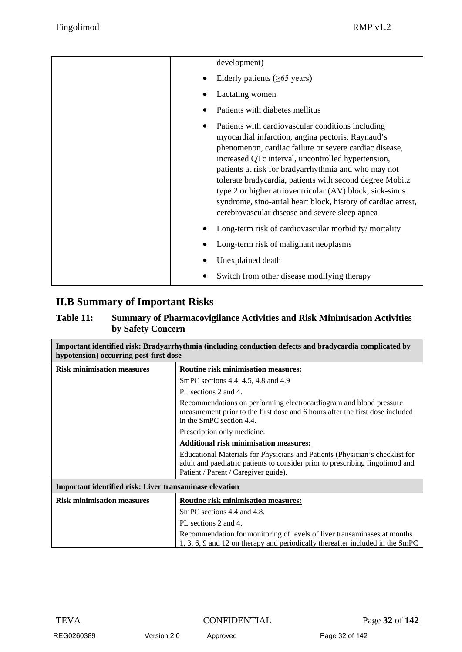| development)                                                                                                                                                                                                                                                                                                                                                                                                                                                                                                              |
|---------------------------------------------------------------------------------------------------------------------------------------------------------------------------------------------------------------------------------------------------------------------------------------------------------------------------------------------------------------------------------------------------------------------------------------------------------------------------------------------------------------------------|
| Elderly patients $(\geq 65 \text{ years})$                                                                                                                                                                                                                                                                                                                                                                                                                                                                                |
| Lactating women                                                                                                                                                                                                                                                                                                                                                                                                                                                                                                           |
| Patients with diabetes mellitus                                                                                                                                                                                                                                                                                                                                                                                                                                                                                           |
| Patients with cardiovascular conditions including<br>myocardial infarction, angina pectoris, Raynaud's<br>phenomenon, cardiac failure or severe cardiac disease,<br>increased QTc interval, uncontrolled hypertension,<br>patients at risk for bradyarrhythmia and who may not<br>tolerate bradycardia, patients with second degree Mobitz<br>type 2 or higher atrioventricular (AV) block, sick-sinus<br>syndrome, sino-atrial heart block, history of cardiac arrest,<br>cerebrovascular disease and severe sleep apnea |
| Long-term risk of cardiovascular morbidity/mortality                                                                                                                                                                                                                                                                                                                                                                                                                                                                      |
| Long-term risk of malignant neoplasms                                                                                                                                                                                                                                                                                                                                                                                                                                                                                     |
| Unexplained death                                                                                                                                                                                                                                                                                                                                                                                                                                                                                                         |
| Switch from other disease modifying therapy                                                                                                                                                                                                                                                                                                                                                                                                                                                                               |

## **II.B Summary of Important Risks**

#### **Table 11: Summary of Pharmacovigilance Activities and Risk Minimisation Activities by Safety Concern**

| Important identified risk: Bradyarrhythmia (including conduction defects and bradycardia complicated by<br>hypotension) occurring post-first dose |                                                                                                                                                                                                       |  |
|---------------------------------------------------------------------------------------------------------------------------------------------------|-------------------------------------------------------------------------------------------------------------------------------------------------------------------------------------------------------|--|
| <b>Risk minimisation measures</b>                                                                                                                 | <b>Routine risk minimisation measures:</b>                                                                                                                                                            |  |
|                                                                                                                                                   | SmPC sections 4.4, 4.5, 4.8 and 4.9                                                                                                                                                                   |  |
|                                                                                                                                                   | PL sections 2 and 4.                                                                                                                                                                                  |  |
|                                                                                                                                                   | Recommendations on performing electrocardiogram and blood pressure<br>measurement prior to the first dose and 6 hours after the first dose included<br>in the SmPC section 4.4.                       |  |
|                                                                                                                                                   | Prescription only medicine.                                                                                                                                                                           |  |
|                                                                                                                                                   | <b>Additional risk minimisation measures:</b>                                                                                                                                                         |  |
|                                                                                                                                                   | Educational Materials for Physicians and Patients (Physician's checklist for<br>adult and paediatric patients to consider prior to prescribing fingolimod and<br>Patient / Parent / Caregiver guide). |  |
| Important identified risk: Liver transaminase elevation                                                                                           |                                                                                                                                                                                                       |  |
| <b>Risk minimisation measures</b>                                                                                                                 | Routine risk minimisation measures:                                                                                                                                                                   |  |
|                                                                                                                                                   | SmPC sections 4.4 and 4.8.                                                                                                                                                                            |  |
|                                                                                                                                                   | PL sections 2 and 4.                                                                                                                                                                                  |  |
|                                                                                                                                                   | Recommendation for monitoring of levels of liver transaminases at months<br>1, 3, 6, 9 and 12 on therapy and periodically thereafter included in the SmPC                                             |  |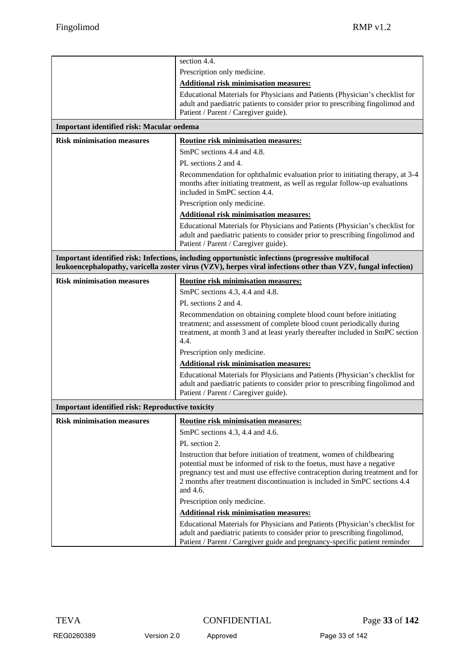|                                                                                                                                                                                                                   | section 4.4.                                                                                                                                                                                                                                                                                                              |  |
|-------------------------------------------------------------------------------------------------------------------------------------------------------------------------------------------------------------------|---------------------------------------------------------------------------------------------------------------------------------------------------------------------------------------------------------------------------------------------------------------------------------------------------------------------------|--|
|                                                                                                                                                                                                                   | Prescription only medicine.                                                                                                                                                                                                                                                                                               |  |
|                                                                                                                                                                                                                   | <b>Additional risk minimisation measures:</b>                                                                                                                                                                                                                                                                             |  |
|                                                                                                                                                                                                                   | Educational Materials for Physicians and Patients (Physician's checklist for<br>adult and paediatric patients to consider prior to prescribing fingolimod and<br>Patient / Parent / Caregiver guide).                                                                                                                     |  |
| Important identified risk: Macular oedema                                                                                                                                                                         |                                                                                                                                                                                                                                                                                                                           |  |
| <b>Risk minimisation measures</b>                                                                                                                                                                                 | <b>Routine risk minimisation measures:</b>                                                                                                                                                                                                                                                                                |  |
|                                                                                                                                                                                                                   | SmPC sections 4.4 and 4.8.                                                                                                                                                                                                                                                                                                |  |
|                                                                                                                                                                                                                   | PL sections 2 and 4.                                                                                                                                                                                                                                                                                                      |  |
|                                                                                                                                                                                                                   | Recommendation for ophthalmic evaluation prior to initiating therapy, at 3-4<br>months after initiating treatment, as well as regular follow-up evaluations<br>included in SmPC section 4.4.                                                                                                                              |  |
|                                                                                                                                                                                                                   | Prescription only medicine.                                                                                                                                                                                                                                                                                               |  |
|                                                                                                                                                                                                                   | <b>Additional risk minimisation measures:</b>                                                                                                                                                                                                                                                                             |  |
|                                                                                                                                                                                                                   | Educational Materials for Physicians and Patients (Physician's checklist for<br>adult and paediatric patients to consider prior to prescribing fingolimod and<br>Patient / Parent / Caregiver guide).                                                                                                                     |  |
| Important identified risk: Infections, including opportunistic infections (progressive multifocal<br>leukoencephalopathy, varicella zoster virus (VZV), herpes viral infections other than VZV, fungal infection) |                                                                                                                                                                                                                                                                                                                           |  |
| <b>Risk minimisation measures</b>                                                                                                                                                                                 | Routine risk minimisation measures:                                                                                                                                                                                                                                                                                       |  |
|                                                                                                                                                                                                                   | SmPC sections 4.3, 4.4 and 4.8.                                                                                                                                                                                                                                                                                           |  |
|                                                                                                                                                                                                                   | PL sections 2 and 4.                                                                                                                                                                                                                                                                                                      |  |
|                                                                                                                                                                                                                   | Recommendation on obtaining complete blood count before initiating<br>treatment; and assessment of complete blood count periodically during<br>treatment, at month 3 and at least yearly thereafter included in SmPC section<br>4.4.                                                                                      |  |
|                                                                                                                                                                                                                   | Prescription only medicine.                                                                                                                                                                                                                                                                                               |  |
|                                                                                                                                                                                                                   | <b>Additional risk minimisation measures:</b>                                                                                                                                                                                                                                                                             |  |
|                                                                                                                                                                                                                   | Educational Materials for Physicians and Patients (Physician's checklist for<br>adult and paediatric patients to consider prior to prescribing fingolimod and<br>Patient / Parent / Caregiver guide).                                                                                                                     |  |
| <b>Important identified risk: Reproductive toxicity</b>                                                                                                                                                           |                                                                                                                                                                                                                                                                                                                           |  |
| <b>Risk minimisation measures</b>                                                                                                                                                                                 | Routine risk minimisation measures:                                                                                                                                                                                                                                                                                       |  |
|                                                                                                                                                                                                                   | SmPC sections 4.3, 4.4 and 4.6.                                                                                                                                                                                                                                                                                           |  |
|                                                                                                                                                                                                                   | PL section 2.                                                                                                                                                                                                                                                                                                             |  |
|                                                                                                                                                                                                                   | Instruction that before initiation of treatment, women of childbearing<br>potential must be informed of risk to the foetus, must have a negative<br>pregnancy test and must use effective contraception during treatment and for<br>2 months after treatment discontinuation is included in SmPC sections 4.4<br>and 4.6. |  |
|                                                                                                                                                                                                                   | Prescription only medicine.                                                                                                                                                                                                                                                                                               |  |
|                                                                                                                                                                                                                   | <b>Additional risk minimisation measures:</b>                                                                                                                                                                                                                                                                             |  |
|                                                                                                                                                                                                                   | Educational Materials for Physicians and Patients (Physician's checklist for<br>adult and paediatric patients to consider prior to prescribing fingolimod,<br>Patient / Parent / Caregiver guide and pregnancy-specific patient reminder                                                                                  |  |